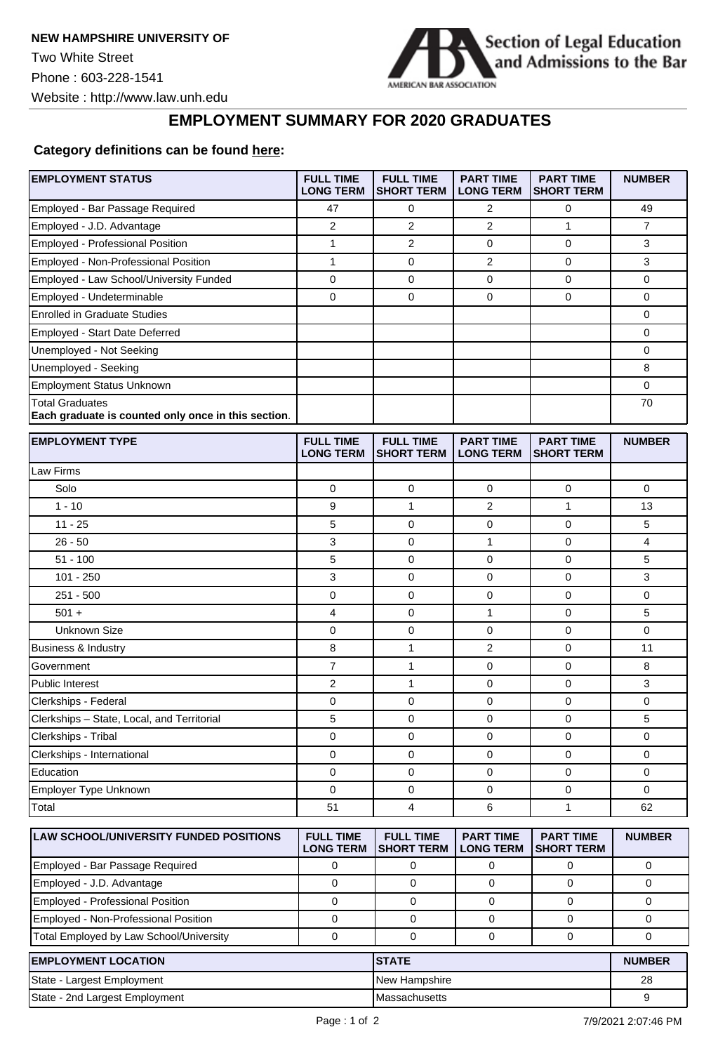

## **EMPLOYMENT SUMMARY FOR 2020 GRADUATES**

## **Category [definitions](https://poorsql.com/) can be found [here:](https://www.americanbar.org/content/dam/aba/administrative/legal_education_and_admissions_to_the_bar/Questionnaires/employment-protocol-class-of-2020.pdf)**

| <b>EMPLOYMENT STATUS</b>                                                      | <b>FULL TIME</b><br><b>LONG TERM</b> | <b>FULL TIME</b><br><b>SHORT TERM</b> | <b>PART TIME</b><br><b>LONG TERM</b> | <b>PART TIME</b><br><b>SHORT TERM</b> | <b>NUMBER</b>  |
|-------------------------------------------------------------------------------|--------------------------------------|---------------------------------------|--------------------------------------|---------------------------------------|----------------|
| Employed - Bar Passage Required                                               | 47                                   | 0                                     | 2                                    | 0                                     | 49             |
| Employed - J.D. Advantage                                                     | $\overline{2}$                       | $\overline{2}$                        | $\overline{2}$                       | 1                                     | $\overline{7}$ |
| Employed - Professional Position                                              | 1                                    | $\overline{2}$                        | 0                                    | 0                                     | 3              |
| <b>Employed - Non-Professional Position</b>                                   | $\mathbf{1}$                         | $\mathbf 0$                           | $\overline{2}$                       | $\mathbf 0$                           | 3              |
| Employed - Law School/University Funded                                       | 0                                    | 0                                     | 0                                    | 0                                     | 0              |
| Employed - Undeterminable                                                     | 0                                    | $\mathbf 0$                           | 0                                    | 0                                     | 0              |
| <b>Enrolled in Graduate Studies</b>                                           |                                      |                                       |                                      |                                       | 0              |
| Employed - Start Date Deferred                                                |                                      |                                       |                                      |                                       | 0              |
| Unemployed - Not Seeking                                                      |                                      |                                       |                                      |                                       | 0              |
| Unemployed - Seeking                                                          |                                      |                                       |                                      |                                       | 8              |
| <b>Employment Status Unknown</b>                                              |                                      |                                       |                                      |                                       | 0              |
| <b>Total Graduates</b><br>Each graduate is counted only once in this section. |                                      |                                       |                                      |                                       | 70             |
| <b>EMPLOYMENT TYPE</b>                                                        | <b>FULL TIME</b><br><b>LONG TERM</b> | <b>FULL TIME</b><br><b>SHORT TERM</b> | <b>PART TIME</b><br><b>LONG TERM</b> | <b>PART TIME</b><br><b>SHORT TERM</b> | <b>NUMBER</b>  |
| Law Firms                                                                     |                                      |                                       |                                      |                                       |                |
| Solo                                                                          | 0                                    | $\mathbf 0$                           | 0                                    | $\mathbf 0$                           | 0              |
| $1 - 10$                                                                      | 9                                    | $\mathbf{1}$                          | 2                                    | 1                                     | 13             |
| $11 - 25$                                                                     | 5                                    | 0                                     | 0                                    | 0                                     | 5              |
| $26 - 50$                                                                     | 3                                    | $\mathbf 0$                           | 1                                    | $\mathbf 0$                           | 4              |
| $51 - 100$                                                                    | 5                                    | $\mathbf 0$                           | 0                                    | 0                                     | 5              |
| $101 - 250$                                                                   | 3                                    | 0                                     | 0                                    | $\mathbf 0$                           | 3              |
| $251 - 500$                                                                   | 0                                    | $\mathbf 0$                           | 0                                    | $\mathbf 0$                           | 0              |
| $501 +$                                                                       | 4                                    | $\mathbf 0$                           | $\mathbf{1}$                         | $\mathbf 0$                           | 5              |
| <b>Unknown Size</b>                                                           | 0                                    | $\mathbf 0$                           | 0                                    | $\mathbf 0$                           | 0              |
| Business & Industry                                                           | 8                                    | $\mathbf{1}$                          | 2                                    | $\mathbf 0$                           | 11             |
| Government                                                                    | $\overline{7}$                       | $\mathbf{1}$                          | 0                                    | $\mathbf 0$                           | 8              |
| Public Interest                                                               | 2                                    | $\mathbf{1}$                          | 0                                    | 0                                     | 3              |
| Clerkships - Federal                                                          | 0                                    | $\mathbf 0$                           | 0                                    | $\mathbf 0$                           | 0              |
| Clerkships - State, Local, and Territorial                                    | 5                                    | $\mathbf 0$                           | 0                                    | 0                                     | 5              |
| Clerkships - Tribal                                                           | 0                                    | 0                                     | 0                                    | $\mathbf 0$                           | 0              |
| Clerkships - International                                                    | 0                                    | $\mathbf 0$                           | 0                                    | 0                                     | 0              |
| Education                                                                     | 0                                    | 0                                     | 0                                    | 0                                     | 0              |
| Employer Type Unknown                                                         | $\Omega$                             | $\mathbf 0$                           | 0                                    | $\mathbf 0$                           | 0              |
| Total                                                                         | 51                                   | 4                                     | 6                                    | 1                                     | 62             |
| <b>LAW SCHOOL/UNIVERSITY FUNDED POSITIONS</b>                                 | <b>FULL TIME</b><br><b>LONG TERM</b> | <b>FULL TIME</b><br><b>SHORT TERM</b> | <b>PART TIME</b><br><b>LONG TERM</b> | <b>PART TIME</b><br><b>SHORT TERM</b> | <b>NUMBER</b>  |
| Employed - Bar Passage Required                                               | 0                                    | 0                                     | 0                                    | 0                                     | 0              |
| Employed - J.D. Advantage                                                     | 0                                    | $\mathbf 0$                           | 0                                    | 0                                     | 0              |
| Employed - Professional Position                                              | 0                                    | $\mathbf 0$                           | 0                                    | 0                                     | 0              |
| Employed - Non-Professional Position                                          | $\mathbf 0$                          | $\mathbf 0$                           | 0                                    | 0                                     | 0              |
| Total Employed by Law School/University                                       | 0                                    | $\mathbf 0$                           | 0                                    | 0                                     | 0              |
| <b>EMPLOYMENT LOCATION</b>                                                    |                                      | <b>STATE</b>                          |                                      |                                       | <b>NUMBER</b>  |
| State - Largest Employment                                                    |                                      | New Hampshire                         |                                      | 28                                    |                |
| State - 2nd Largest Employment                                                |                                      | Massachusetts                         |                                      |                                       | 9              |